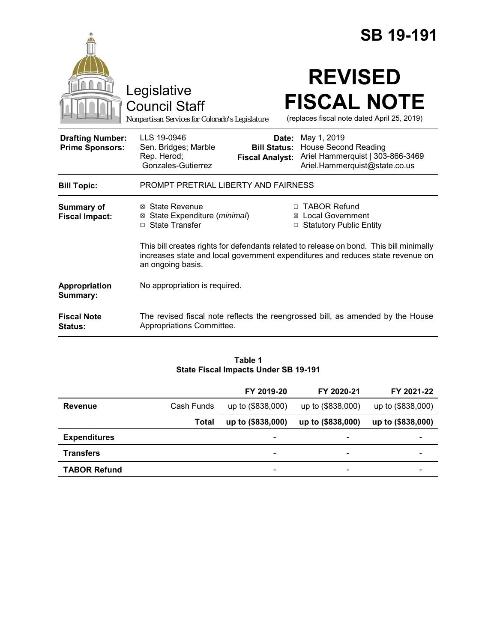|                                                   | <b>SB 19-191</b>                                                                                                                                                                                                                                          |
|---------------------------------------------------|-----------------------------------------------------------------------------------------------------------------------------------------------------------------------------------------------------------------------------------------------------------|
|                                                   | <b>REVISED</b><br>Legislative<br><b>FISCAL NOTE</b><br><b>Council Staff</b><br>(replaces fiscal note dated April 25, 2019)<br>Nonpartisan Services for Colorado's Legislature                                                                             |
| <b>Drafting Number:</b><br><b>Prime Sponsors:</b> | LLS 19-0946<br><b>Date:</b> May 1, 2019<br><b>House Second Reading</b><br>Sen. Bridges; Marble<br><b>Bill Status:</b><br>Rep. Herod;<br>Ariel Hammerquist   303-866-3469<br><b>Fiscal Analyst:</b><br>Gonzales-Gutierrez<br>Ariel.Hammerquist@state.co.us |
| <b>Bill Topic:</b>                                | PROMPT PRETRIAL LIBERTY AND FAIRNESS                                                                                                                                                                                                                      |
| <b>Summary of</b><br><b>Fiscal Impact:</b>        | □ TABOR Refund<br>⊠ State Revenue<br>State Expenditure (minimal)<br>⊠ Local Government<br>⊠<br>□ State Transfer<br><b>Statutory Public Entity</b>                                                                                                         |
|                                                   | This bill creates rights for defendants related to release on bond. This bill minimally<br>increases state and local government expenditures and reduces state revenue on<br>an ongoing basis.                                                            |
| Appropriation<br>Summary:                         | No appropriation is required.                                                                                                                                                                                                                             |
| <b>Fiscal Note</b><br><b>Status:</b>              | The revised fiscal note reflects the reengrossed bill, as amended by the House<br>Appropriations Committee.                                                                                                                                               |

#### **Table 1 State Fiscal Impacts Under SB 19-191**

|                     |              | FY 2019-20               | FY 2020-21               | FY 2021-22        |
|---------------------|--------------|--------------------------|--------------------------|-------------------|
| Revenue             | Cash Funds   | up to (\$838,000)        | up to (\$838,000)        | up to (\$838,000) |
|                     | <b>Total</b> | up to (\$838,000)        | up to (\$838,000)        | up to (\$838,000) |
| <b>Expenditures</b> |              | $\overline{\phantom{0}}$ |                          |                   |
| <b>Transfers</b>    |              | $\overline{\phantom{a}}$ | $\overline{\phantom{0}}$ |                   |
| <b>TABOR Refund</b> |              | $\overline{\phantom{a}}$ | -                        | -                 |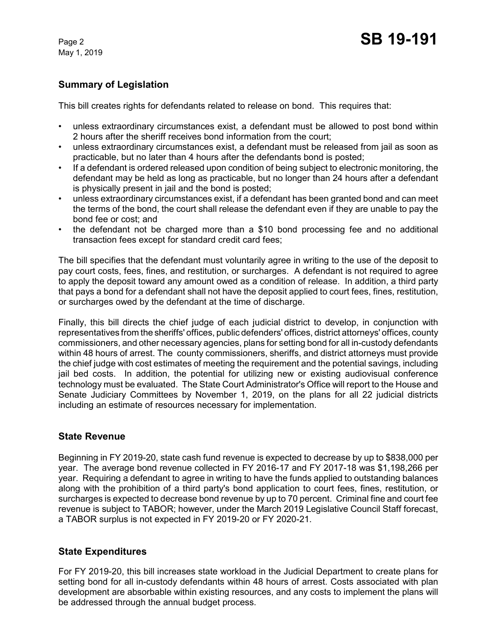May 1, 2019

# **Summary of Legislation**

This bill creates rights for defendants related to release on bond. This requires that:

- unless extraordinary circumstances exist, a defendant must be allowed to post bond within 2 hours after the sheriff receives bond information from the court;
- unless extraordinary circumstances exist, a defendant must be released from jail as soon as practicable, but no later than 4 hours after the defendants bond is posted;
- If a defendant is ordered released upon condition of being subject to electronic monitoring, the defendant may be held as long as practicable, but no longer than 24 hours after a defendant is physically present in jail and the bond is posted;
- unless extraordinary circumstances exist, if a defendant has been granted bond and can meet the terms of the bond, the court shall release the defendant even if they are unable to pay the bond fee or cost; and
- the defendant not be charged more than a \$10 bond processing fee and no additional transaction fees except for standard credit card fees;

The bill specifies that the defendant must voluntarily agree in writing to the use of the deposit to pay court costs, fees, fines, and restitution, or surcharges. A defendant is not required to agree to apply the deposit toward any amount owed as a condition of release. In addition, a third party that pays a bond for a defendant shall not have the deposit applied to court fees, fines, restitution, or surcharges owed by the defendant at the time of discharge.

Finally, this bill directs the chief judge of each judicial district to develop, in conjunction with representatives from the sheriffs' offices, public defenders' offices, district attorneys' offices, county commissioners, and other necessary agencies, plans for setting bond for all in-custody defendants within 48 hours of arrest. The county commissioners, sheriffs, and district attorneys must provide the chief judge with cost estimates of meeting the requirement and the potential savings, including jail bed costs. In addition, the potential for utilizing new or existing audiovisual conference technology must be evaluated. The State Court Administrator's Office will report to the House and Senate Judiciary Committees by November 1, 2019, on the plans for all 22 judicial districts including an estimate of resources necessary for implementation.

## **State Revenue**

Beginning in FY 2019-20, state cash fund revenue is expected to decrease by up to \$838,000 per year. The average bond revenue collected in FY 2016-17 and FY 2017-18 was \$1,198,266 per year. Requiring a defendant to agree in writing to have the funds applied to outstanding balances along with the prohibition of a third party's bond application to court fees, fines, restitution, or surcharges is expected to decrease bond revenue by up to 70 percent. Criminal fine and court fee revenue is subject to TABOR; however, under the March 2019 Legislative Council Staff forecast, a TABOR surplus is not expected in FY 2019-20 or FY 2020-21.

## **State Expenditures**

For FY 2019-20, this bill increases state workload in the Judicial Department to create plans for setting bond for all in-custody defendants within 48 hours of arrest. Costs associated with plan development are absorbable within existing resources, and any costs to implement the plans will be addressed through the annual budget process.